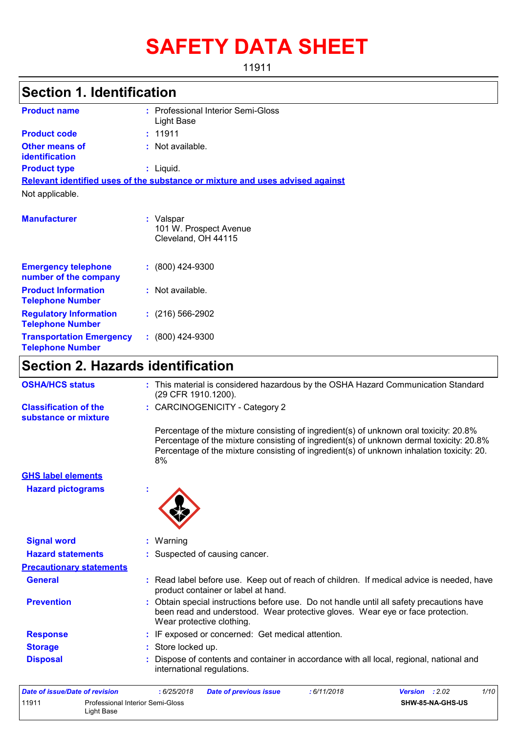# **SAFETY DATA SHEET**

11911

# **Section 1. Identification**

| <b>Product name</b>                                        | : Professional Interior Semi-Gloss<br>Light Base                              |
|------------------------------------------------------------|-------------------------------------------------------------------------------|
| <b>Product code</b>                                        | : 11911                                                                       |
| <b>Other means of</b><br>identification                    | : Not available.                                                              |
| <b>Product type</b>                                        | $:$ Liquid.                                                                   |
|                                                            | Relevant identified uses of the substance or mixture and uses advised against |
| Not applicable.                                            |                                                                               |
| <b>Manufacturer</b>                                        | : Valspar<br>101 W. Prospect Avenue<br>Cleveland, OH 44115                    |
| <b>Emergency telephone</b><br>number of the company        | $: (800)$ 424-9300                                                            |
| <b>Product Information</b><br><b>Telephone Number</b>      | : Not available.                                                              |
| <b>Regulatory Information</b><br><b>Telephone Number</b>   | $: (216) 566 - 2902$                                                          |
| <b>Transportation Emergency</b><br><b>Telephone Number</b> | $: (800)$ 424-9300                                                            |

# **Section 2. Hazards identification**

| <b>OSHA/HCS status</b>                               | : This material is considered hazardous by the OSHA Hazard Communication Standard<br>(29 CFR 1910.1200).                                                                                                                                                                            |
|------------------------------------------------------|-------------------------------------------------------------------------------------------------------------------------------------------------------------------------------------------------------------------------------------------------------------------------------------|
| <b>Classification of the</b><br>substance or mixture | : CARCINOGENICITY - Category 2                                                                                                                                                                                                                                                      |
|                                                      | Percentage of the mixture consisting of ingredient(s) of unknown oral toxicity: 20.8%<br>Percentage of the mixture consisting of ingredient(s) of unknown dermal toxicity: 20.8%<br>Percentage of the mixture consisting of ingredient(s) of unknown inhalation toxicity: 20.<br>8% |
| <b>GHS label elements</b>                            |                                                                                                                                                                                                                                                                                     |
| <b>Hazard pictograms</b>                             |                                                                                                                                                                                                                                                                                     |
|                                                      |                                                                                                                                                                                                                                                                                     |
| <b>Signal word</b>                                   | : Warning                                                                                                                                                                                                                                                                           |
| <b>Hazard statements</b>                             | : Suspected of causing cancer.                                                                                                                                                                                                                                                      |
| <b>Precautionary statements</b>                      |                                                                                                                                                                                                                                                                                     |
| <b>General</b>                                       | : Read label before use. Keep out of reach of children. If medical advice is needed, have<br>product container or label at hand.                                                                                                                                                    |
| <b>Prevention</b>                                    | : Obtain special instructions before use. Do not handle until all safety precautions have<br>been read and understood. Wear protective gloves. Wear eye or face protection.<br>Wear protective clothing.                                                                            |
| <b>Response</b>                                      | : IF exposed or concerned: Get medical attention.                                                                                                                                                                                                                                   |
| <b>Storage</b>                                       | : Store locked up.                                                                                                                                                                                                                                                                  |
| <b>Disposal</b>                                      | Dispose of contents and container in accordance with all local, regional, national and<br>international regulations.                                                                                                                                                                |
|                                                      |                                                                                                                                                                                                                                                                                     |

| Date of issue/Date of revision |                                                | 6/25/2018 | Date of previous issue | : 6/11/2018 | <b>Version</b> : $2.02$ |                         | 1/10 |
|--------------------------------|------------------------------------------------|-----------|------------------------|-------------|-------------------------|-------------------------|------|
| 11911                          | Professional Interior Semi-Gloss<br>Light Base |           |                        |             |                         | <b>SHW-85-NA-GHS-US</b> |      |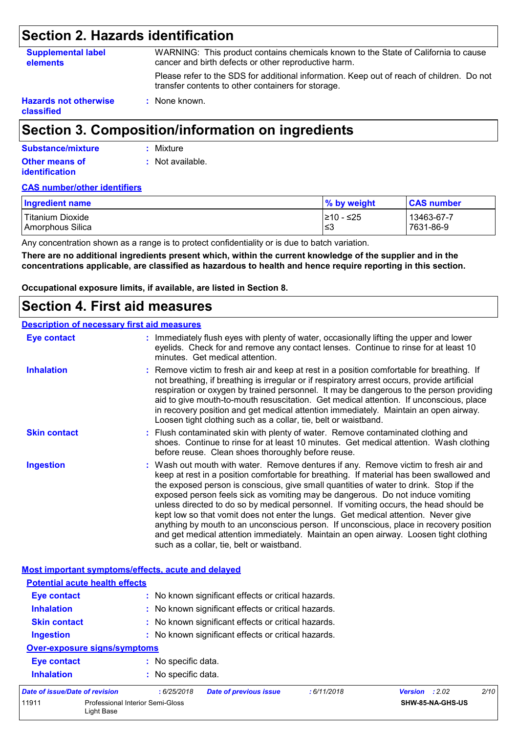# **Section 2. Hazards identification**

| <b>Supplemental label</b><br>elements | WARNING: This product contains chemicals known to the State of California to cause<br>cancer and birth defects or other reproductive harm.      |
|---------------------------------------|-------------------------------------------------------------------------------------------------------------------------------------------------|
|                                       | Please refer to the SDS for additional information. Keep out of reach of children. Do not<br>transfer contents to other containers for storage. |
| <b>Hazards not otherwise</b>          | : None known.                                                                                                                                   |

**classified**

# **Section 3. Composition/information on ingredients**

| Substance/mixture     | : Mixture        |
|-----------------------|------------------|
| <b>Other means of</b> | : Not available. |
| <i>identification</i> |                  |

#### **CAS number/other identifiers**

| <b>Ingredient name</b> | % by weight | <b>CAS number</b> |
|------------------------|-------------|-------------------|
| l Titanium Dioxide     | I≥10 - ≤25  | 13463-67-7        |
| Amorphous Silica       | ≤3          | 7631-86-9         |

Any concentration shown as a range is to protect confidentiality or is due to batch variation.

**There are no additional ingredients present which, within the current knowledge of the supplier and in the concentrations applicable, are classified as hazardous to health and hence require reporting in this section.**

**Occupational exposure limits, if available, are listed in Section 8.**

### **Section 4. First aid measures**

#### **Description of necessary first aid measures**

| <b>Eye contact</b>                                 | : Immediately flush eyes with plenty of water, occasionally lifting the upper and lower<br>eyelids. Check for and remove any contact lenses. Continue to rinse for at least 10<br>minutes. Get medical attention.                                                                                                                                                                                                                                                                                                                                                                                                                                                                                                                                                         |
|----------------------------------------------------|---------------------------------------------------------------------------------------------------------------------------------------------------------------------------------------------------------------------------------------------------------------------------------------------------------------------------------------------------------------------------------------------------------------------------------------------------------------------------------------------------------------------------------------------------------------------------------------------------------------------------------------------------------------------------------------------------------------------------------------------------------------------------|
| <b>Inhalation</b>                                  | : Remove victim to fresh air and keep at rest in a position comfortable for breathing. If<br>not breathing, if breathing is irregular or if respiratory arrest occurs, provide artificial<br>respiration or oxygen by trained personnel. It may be dangerous to the person providing<br>aid to give mouth-to-mouth resuscitation. Get medical attention. If unconscious, place<br>in recovery position and get medical attention immediately. Maintain an open airway.<br>Loosen tight clothing such as a collar, tie, belt or waistband.                                                                                                                                                                                                                                 |
| <b>Skin contact</b>                                | : Flush contaminated skin with plenty of water. Remove contaminated clothing and<br>shoes. Continue to rinse for at least 10 minutes. Get medical attention. Wash clothing<br>before reuse. Clean shoes thoroughly before reuse.                                                                                                                                                                                                                                                                                                                                                                                                                                                                                                                                          |
| <b>Ingestion</b>                                   | : Wash out mouth with water. Remove dentures if any. Remove victim to fresh air and<br>keep at rest in a position comfortable for breathing. If material has been swallowed and<br>the exposed person is conscious, give small quantities of water to drink. Stop if the<br>exposed person feels sick as vomiting may be dangerous. Do not induce vomiting<br>unless directed to do so by medical personnel. If vomiting occurs, the head should be<br>kept low so that vomit does not enter the lungs. Get medical attention. Never give<br>anything by mouth to an unconscious person. If unconscious, place in recovery position<br>and get medical attention immediately. Maintain an open airway. Loosen tight clothing<br>such as a collar, tie, belt or waistband. |
| Most important symptoms/effects, acute and delayed |                                                                                                                                                                                                                                                                                                                                                                                                                                                                                                                                                                                                                                                                                                                                                                           |
| <b>Potential acute health effects</b>              |                                                                                                                                                                                                                                                                                                                                                                                                                                                                                                                                                                                                                                                                                                                                                                           |
| Eye contact                                        | : No known significant effects or critical hazards.                                                                                                                                                                                                                                                                                                                                                                                                                                                                                                                                                                                                                                                                                                                       |
| <b>Inhalation</b>                                  | : No known significant effects or critical hazards.                                                                                                                                                                                                                                                                                                                                                                                                                                                                                                                                                                                                                                                                                                                       |

- **Skin contact :** No known significant effects or critical hazards.
- **Ingestion :** No known significant effects or critical hazards.

### **Over-exposure signs/symptoms**

**Inhalation :** No specific data.

| Date of issue/Date of revision |                                                | : 6/25/2018 | Date of previous issue | : 6/11/2018 | <b>Version</b> : 2.02   | 2/10 |
|--------------------------------|------------------------------------------------|-------------|------------------------|-------------|-------------------------|------|
| 11911                          | Professional Interior Semi-Gloss<br>Light Base |             |                        |             | <b>SHW-85-NA-GHS-US</b> |      |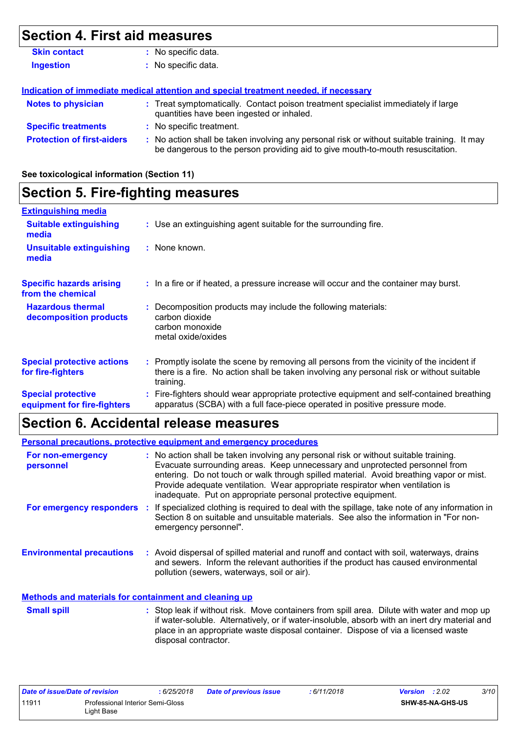# **Section 4. First aid measures**

| <b>Skin contact</b> | : No specific data. |  |
|---------------------|---------------------|--|
| <b>Ingestion</b>    | : No specific data. |  |

#### **Indication of immediate medical attention and special treatment needed, if necessary**

| <b>Notes to physician</b>         | : Treat symptomatically. Contact poison treatment specialist immediately if large<br>quantities have been ingested or inhaled.                                              |
|-----------------------------------|-----------------------------------------------------------------------------------------------------------------------------------------------------------------------------|
| <b>Specific treatments</b>        | : No specific treatment.                                                                                                                                                    |
| <b>Protection of first-aiders</b> | No action shall be taken involving any personal risk or without suitable training. It may<br>be dangerous to the person providing aid to give mouth-to-mouth resuscitation. |

#### **See toxicological information (Section 11)**

# **Section 5. Fire-fighting measures**

| <b>Extinguishing media</b>                               |                                                                                                                                                                                                     |
|----------------------------------------------------------|-----------------------------------------------------------------------------------------------------------------------------------------------------------------------------------------------------|
| <b>Suitable extinguishing</b><br>media                   | : Use an extinguishing agent suitable for the surrounding fire.                                                                                                                                     |
| <b>Unsuitable extinguishing</b><br>media                 | : None known.                                                                                                                                                                                       |
| <b>Specific hazards arising</b><br>from the chemical     | : In a fire or if heated, a pressure increase will occur and the container may burst.                                                                                                               |
| <b>Hazardous thermal</b><br>decomposition products       | : Decomposition products may include the following materials:<br>carbon dioxide<br>carbon monoxide<br>metal oxide/oxides                                                                            |
| <b>Special protective actions</b><br>for fire-fighters   | : Promptly isolate the scene by removing all persons from the vicinity of the incident if<br>there is a fire. No action shall be taken involving any personal risk or without suitable<br>training. |
| <b>Special protective</b><br>equipment for fire-fighters | : Fire-fighters should wear appropriate protective equipment and self-contained breathing<br>apparatus (SCBA) with a full face-piece operated in positive pressure mode.                            |

## **Section 6. Accidental release measures**

|                                                              | <b>Personal precautions, protective equipment and emergency procedures</b>                                                                                                                                                                                                                                                                                                                                       |
|--------------------------------------------------------------|------------------------------------------------------------------------------------------------------------------------------------------------------------------------------------------------------------------------------------------------------------------------------------------------------------------------------------------------------------------------------------------------------------------|
| For non-emergency<br>personnel                               | : No action shall be taken involving any personal risk or without suitable training.<br>Evacuate surrounding areas. Keep unnecessary and unprotected personnel from<br>entering. Do not touch or walk through spilled material. Avoid breathing vapor or mist.<br>Provide adequate ventilation. Wear appropriate respirator when ventilation is<br>inadequate. Put on appropriate personal protective equipment. |
|                                                              | For emergency responders : If specialized clothing is required to deal with the spillage, take note of any information in<br>Section 8 on suitable and unsuitable materials. See also the information in "For non-<br>emergency personnel".                                                                                                                                                                      |
| <b>Environmental precautions</b>                             | : Avoid dispersal of spilled material and runoff and contact with soil, waterways, drains<br>and sewers. Inform the relevant authorities if the product has caused environmental<br>pollution (sewers, waterways, soil or air).                                                                                                                                                                                  |
| <b>Methods and materials for containment and cleaning up</b> |                                                                                                                                                                                                                                                                                                                                                                                                                  |
| <b>Small spill</b>                                           | : Stop leak if without risk. Move containers from spill area. Dilute with water and mop up<br>if water-soluble. Alternatively, or if water-insoluble, absorb with an inert dry material and<br>place in an appropriate waste disposal container. Dispose of via a licensed waste<br>disposal contractor.                                                                                                         |

| Date of issue/Date of revision |                                                | 6/25/2018 | <b>Date of previous issue</b> | : 6/11/2018 | <b>Version</b> : $2.02$ | 3/10 |
|--------------------------------|------------------------------------------------|-----------|-------------------------------|-------------|-------------------------|------|
| 11911                          | Professional Interior Semi-Gloss<br>∟iɑht Base |           |                               |             | SHW-85-NA-GHS-US        |      |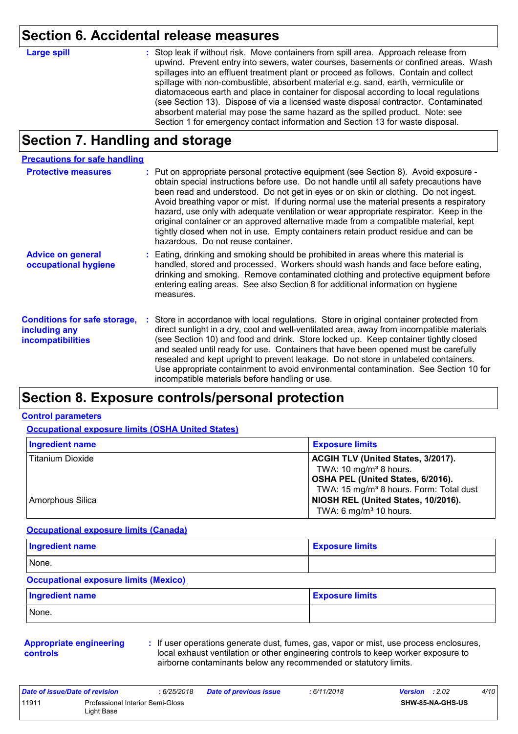## **Section 6. Accidental release measures**

**Large spill :**

Stop leak if without risk. Move containers from spill area. Approach release from upwind. Prevent entry into sewers, water courses, basements or confined areas. Wash spillages into an effluent treatment plant or proceed as follows. Contain and collect spillage with non-combustible, absorbent material e.g. sand, earth, vermiculite or diatomaceous earth and place in container for disposal according to local regulations (see Section 13). Dispose of via a licensed waste disposal contractor. Contaminated absorbent material may pose the same hazard as the spilled product. Note: see Section 1 for emergency contact information and Section 13 for waste disposal.

## **Section 7. Handling and storage**

#### **Precautions for safe handling**

| <b>Protective measures</b>                                                       | : Put on appropriate personal protective equipment (see Section 8). Avoid exposure -<br>obtain special instructions before use. Do not handle until all safety precautions have<br>been read and understood. Do not get in eyes or on skin or clothing. Do not ingest.<br>Avoid breathing vapor or mist. If during normal use the material presents a respiratory<br>hazard, use only with adequate ventilation or wear appropriate respirator. Keep in the<br>original container or an approved alternative made from a compatible material, kept<br>tightly closed when not in use. Empty containers retain product residue and can be<br>hazardous. Do not reuse container. |
|----------------------------------------------------------------------------------|--------------------------------------------------------------------------------------------------------------------------------------------------------------------------------------------------------------------------------------------------------------------------------------------------------------------------------------------------------------------------------------------------------------------------------------------------------------------------------------------------------------------------------------------------------------------------------------------------------------------------------------------------------------------------------|
| <b>Advice on general</b><br>occupational hygiene                                 | : Eating, drinking and smoking should be prohibited in areas where this material is<br>handled, stored and processed. Workers should wash hands and face before eating,<br>drinking and smoking. Remove contaminated clothing and protective equipment before<br>entering eating areas. See also Section 8 for additional information on hygiene<br>measures.                                                                                                                                                                                                                                                                                                                  |
| <b>Conditions for safe storage,</b><br>including any<br><b>incompatibilities</b> | : Store in accordance with local regulations. Store in original container protected from<br>direct sunlight in a dry, cool and well-ventilated area, away from incompatible materials<br>(see Section 10) and food and drink. Store locked up. Keep container tightly closed<br>and sealed until ready for use. Containers that have been opened must be carefully<br>resealed and kept upright to prevent leakage. Do not store in unlabeled containers.<br>Use appropriate containment to avoid environmental contamination. See Section 10 for<br>incompatible materials before handling or use.                                                                            |

### **Section 8. Exposure controls/personal protection**

#### **Control parameters**

**Occupational exposure limits (OSHA United States)**

| <b>Ingredient name</b>  | <b>Exposure limits</b>                                                  |
|-------------------------|-------------------------------------------------------------------------|
| <b>Titanium Dioxide</b> | ACGIH TLV (United States, 3/2017).                                      |
|                         | TWA: 10 mg/m <sup>3</sup> 8 hours.<br>OSHA PEL (United States, 6/2016). |
|                         | TWA: 15 mg/m <sup>3</sup> 8 hours. Form: Total dust                     |
| Amorphous Silica        | NIOSH REL (United States, 10/2016).                                     |
|                         | TWA: 6 mg/m $3$ 10 hours.                                               |

#### **Occupational exposure limits (Canada)**

| Ingredient name | <b>Exposure limits</b> |  |  |  |  |
|-----------------|------------------------|--|--|--|--|
| None.           |                        |  |  |  |  |

#### **Occupational exposure limits (Mexico)**

| Ingredient name | <b>Exposure limits</b> |
|-----------------|------------------------|
| None.           |                        |

#### **Appropriate engineering controls**

**:** If user operations generate dust, fumes, gas, vapor or mist, use process enclosures, local exhaust ventilation or other engineering controls to keep worker exposure to airborne contaminants below any recommended or statutory limits.

| Date of issue/Date of revision |                                                | : 6/25/2018 | Date of previous issue | : 6/11/2018 | <b>Version</b> : $2.02$ | 4/10 |
|--------------------------------|------------------------------------------------|-------------|------------------------|-------------|-------------------------|------|
| 11911                          | Professional Interior Semi-Gloss<br>∟ight Base |             |                        |             | SHW-85-NA-GHS-US        |      |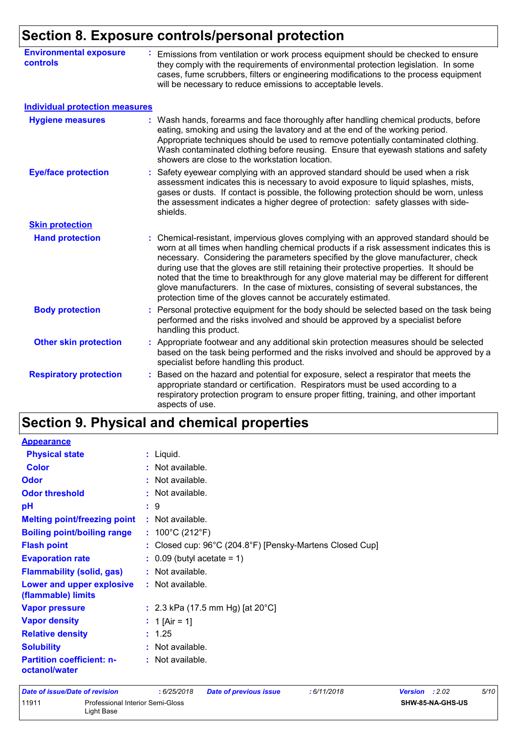# **Section 8. Exposure controls/personal protection**

| <b>Environmental exposure</b><br>controls | Emissions from ventilation or work process equipment should be checked to ensure<br>they comply with the requirements of environmental protection legislation. In some<br>cases, fume scrubbers, filters or engineering modifications to the process equipment<br>will be necessary to reduce emissions to acceptable levels.                                                                                                                                                                                                                                                                                              |
|-------------------------------------------|----------------------------------------------------------------------------------------------------------------------------------------------------------------------------------------------------------------------------------------------------------------------------------------------------------------------------------------------------------------------------------------------------------------------------------------------------------------------------------------------------------------------------------------------------------------------------------------------------------------------------|
| <b>Individual protection measures</b>     |                                                                                                                                                                                                                                                                                                                                                                                                                                                                                                                                                                                                                            |
| <b>Hygiene measures</b>                   | : Wash hands, forearms and face thoroughly after handling chemical products, before<br>eating, smoking and using the lavatory and at the end of the working period.<br>Appropriate techniques should be used to remove potentially contaminated clothing.<br>Wash contaminated clothing before reusing. Ensure that eyewash stations and safety<br>showers are close to the workstation location.                                                                                                                                                                                                                          |
| <b>Eye/face protection</b>                | Safety eyewear complying with an approved standard should be used when a risk<br>assessment indicates this is necessary to avoid exposure to liquid splashes, mists,<br>gases or dusts. If contact is possible, the following protection should be worn, unless<br>the assessment indicates a higher degree of protection: safety glasses with side-<br>shields.                                                                                                                                                                                                                                                           |
| <b>Skin protection</b>                    |                                                                                                                                                                                                                                                                                                                                                                                                                                                                                                                                                                                                                            |
| <b>Hand protection</b>                    | Chemical-resistant, impervious gloves complying with an approved standard should be<br>t.<br>worn at all times when handling chemical products if a risk assessment indicates this is<br>necessary. Considering the parameters specified by the glove manufacturer, check<br>during use that the gloves are still retaining their protective properties. It should be<br>noted that the time to breakthrough for any glove material may be different for different<br>glove manufacturers. In the case of mixtures, consisting of several substances, the<br>protection time of the gloves cannot be accurately estimated. |
| <b>Body protection</b>                    | Personal protective equipment for the body should be selected based on the task being<br>performed and the risks involved and should be approved by a specialist before<br>handling this product.                                                                                                                                                                                                                                                                                                                                                                                                                          |
| <b>Other skin protection</b>              | Appropriate footwear and any additional skin protection measures should be selected<br>based on the task being performed and the risks involved and should be approved by a<br>specialist before handling this product.                                                                                                                                                                                                                                                                                                                                                                                                    |
| <b>Respiratory protection</b>             | Based on the hazard and potential for exposure, select a respirator that meets the<br>appropriate standard or certification. Respirators must be used according to a<br>respiratory protection program to ensure proper fitting, training, and other important<br>aspects of use.                                                                                                                                                                                                                                                                                                                                          |

# **Section 9. Physical and chemical properties**

| <b>Appearance</b>                                 |                                                          |
|---------------------------------------------------|----------------------------------------------------------|
| <b>Physical state</b>                             | $:$ Liquid.                                              |
| <b>Color</b>                                      | : Not available.                                         |
| <b>Odor</b>                                       | : Not available.                                         |
| <b>Odor threshold</b>                             | : Not available.                                         |
| pH                                                | :9                                                       |
| <b>Melting point/freezing point</b>               | : Not available.                                         |
| <b>Boiling point/boiling range</b>                | : $100^{\circ}$ C (212 $^{\circ}$ F)                     |
| <b>Flash point</b>                                | : Closed cup: 96°C (204.8°F) [Pensky-Martens Closed Cup] |
| <b>Evaporation rate</b>                           | $\therefore$ 0.09 (butyl acetate = 1)                    |
| <b>Flammability (solid, gas)</b>                  | : Not available.                                         |
| Lower and upper explosive<br>(flammable) limits   | : Not available.                                         |
| <b>Vapor pressure</b>                             | : 2.3 kPa (17.5 mm Hg) [at $20^{\circ}$ C]               |
| <b>Vapor density</b>                              | : 1 [Air = 1]                                            |
| <b>Relative density</b>                           | : 1.25                                                   |
| <b>Solubility</b>                                 | : Not available.                                         |
| <b>Partition coefficient: n-</b><br>octanol/water | : Not available.                                         |

| Date of issue/Date of revision |                                                | :6/25/2018 | Date of previous issue | : 6/11/2018 | 5/10<br><b>Version</b> : $2.02$ |
|--------------------------------|------------------------------------------------|------------|------------------------|-------------|---------------------------------|
| 11911                          | Professional Interior Semi-Gloss<br>∟ight Base |            |                        |             | <b>SHW-85-NA-GHS-US</b>         |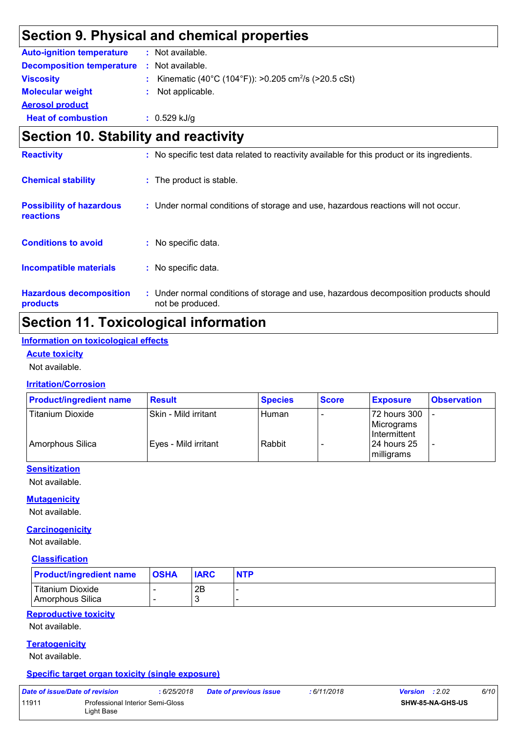# **Section 9. Physical and chemical properties**

| <b>Auto-ignition temperature</b> | : Not available.                                                  |
|----------------------------------|-------------------------------------------------------------------|
| <b>Decomposition temperature</b> | $:$ Not available.                                                |
| <b>Viscosity</b>                 | : Kinematic (40°C (104°F)): >0.205 cm <sup>2</sup> /s (>20.5 cSt) |
| <b>Molecular weight</b>          | : Not applicable.                                                 |
| <b>Aerosol product</b>           |                                                                   |
| <b>Heat of combustion</b>        | $: 0.529$ kJ/g                                                    |

## **Section 10. Stability and reactivity**

| <b>Reactivity</b>                            |    | : No specific test data related to reactivity available for this product or its ingredients.              |
|----------------------------------------------|----|-----------------------------------------------------------------------------------------------------------|
| <b>Chemical stability</b>                    |    | : The product is stable.                                                                                  |
| <b>Possibility of hazardous</b><br>reactions |    | : Under normal conditions of storage and use, hazardous reactions will not occur.                         |
| <b>Conditions to avoid</b>                   |    | : No specific data.                                                                                       |
| Incompatible materials                       | ÷. | No specific data.                                                                                         |
| <b>Hazardous decomposition</b><br>products   |    | : Under normal conditions of storage and use, hazardous decomposition products should<br>not be produced. |

# **Section 11. Toxicological information**

#### **Information on toxicological effects**

**Acute toxicity**

Not available.

#### **Irritation/Corrosion**

| <b>Product/ingredient name</b> | <b>Result</b>          | <b>Species</b> | <b>Score</b> | <b>Exposure</b>                             | <b>Observation</b>       |
|--------------------------------|------------------------|----------------|--------------|---------------------------------------------|--------------------------|
| <b>Titanium Dioxide</b>        | Skin - Mild irritant   | Human          |              | 172 hours 300<br>Micrograms<br>Intermittent |                          |
| Amorphous Silica               | l Eves - Mild irritant | Rabbit         |              | 124 hours 25<br>milligrams                  | $\overline{\phantom{a}}$ |

#### **Sensitization**

Not available.

#### **Mutagenicity**

Not available.

#### **Carcinogenicity**

Not available.

#### **Classification**

| <b>Product/ingredient name</b>       | $ $ OSHA | <b>IARC</b> | <b>NTP</b> |
|--------------------------------------|----------|-------------|------------|
| Titanium Dioxide<br>Amorphous Silica |          | 2B          | -          |

#### **Reproductive toxicity**

Not available.

#### **Teratogenicity**

Not available.

#### **Specific target organ toxicity (single exposure)**

| Date of issue/Date of revision |                                                | : 6/25/2018 | <b>Date of previous issue</b> | : 6/11/2018 | <b>Version</b> : $2.02$ |                         | 6/10 |
|--------------------------------|------------------------------------------------|-------------|-------------------------------|-------------|-------------------------|-------------------------|------|
| 11911                          | Professional Interior Semi-Gloss<br>Light Base |             |                               |             |                         | <b>SHW-85-NA-GHS-US</b> |      |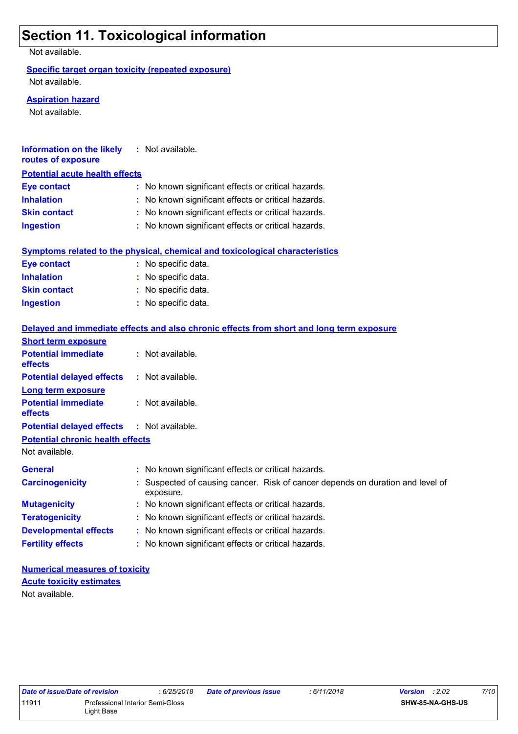# **Section 11. Toxicological information**

Not available.

#### **Specific target organ toxicity (repeated exposure)**

Not available.

#### **Aspiration hazard**

Not available.

| <b>Information on the likely</b><br>routes of exposure | : Not available.                                                                            |
|--------------------------------------------------------|---------------------------------------------------------------------------------------------|
| <b>Potential acute health effects</b>                  |                                                                                             |
| <b>Eye contact</b>                                     | : No known significant effects or critical hazards.                                         |
| <b>Inhalation</b>                                      | : No known significant effects or critical hazards.                                         |
| <b>Skin contact</b>                                    | : No known significant effects or critical hazards.                                         |
| <b>Ingestion</b>                                       | : No known significant effects or critical hazards.                                         |
|                                                        |                                                                                             |
|                                                        | <b>Symptoms related to the physical, chemical and toxicological characteristics</b>         |
| <b>Eye contact</b>                                     | : No specific data.                                                                         |
| <b>Inhalation</b>                                      | : No specific data.                                                                         |
| <b>Skin contact</b>                                    | : No specific data.                                                                         |
| <b>Ingestion</b>                                       | : No specific data.                                                                         |
|                                                        |                                                                                             |
|                                                        | Delayed and immediate effects and also chronic effects from short and long term exposure    |
| <b>Short term exposure</b>                             |                                                                                             |
| <b>Potential immediate</b><br>effects                  | : Not available.                                                                            |
| <b>Potential delayed effects</b>                       | : Not available.                                                                            |
| Long term exposure                                     |                                                                                             |
| <b>Potential immediate</b>                             | : Not available.                                                                            |
| effects                                                |                                                                                             |
| <b>Potential delayed effects</b>                       | : Not available.                                                                            |
| <b>Potential chronic health effects</b>                |                                                                                             |
| Not available.                                         |                                                                                             |
| <b>General</b>                                         | : No known significant effects or critical hazards.                                         |
| <b>Carcinogenicity</b>                                 | : Suspected of causing cancer. Risk of cancer depends on duration and level of<br>exposure. |
| <b>Mutagenicity</b>                                    | : No known significant effects or critical hazards.                                         |
| <b>Teratogenicity</b>                                  | : No known significant effects or critical hazards.                                         |
| <b>Developmental effects</b>                           | : No known significant effects or critical hazards.                                         |
| <b>Fertility effects</b>                               | : No known significant effects or critical hazards.                                         |
|                                                        |                                                                                             |

**Numerical measures of toxicity** Not available. **Acute toxicity estimates**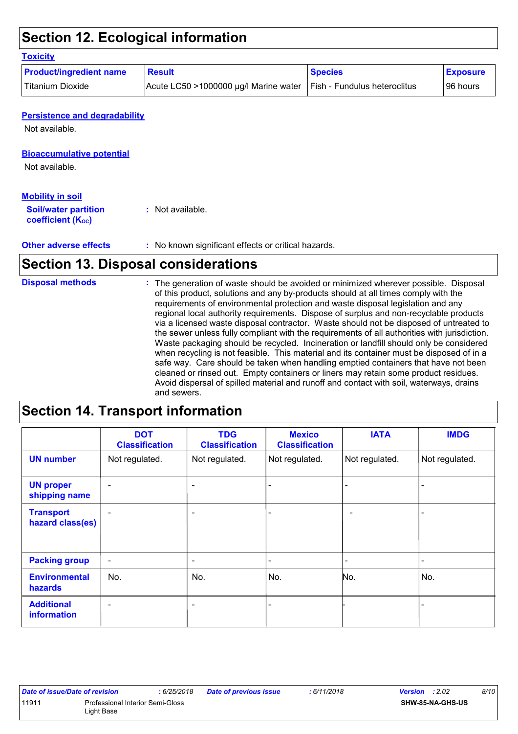# **Section 12. Ecological information**

#### **Toxicity**

| <b>Product/ingredient name</b> | Result                                                               | <b>Species</b> | <b>Exposure</b> |
|--------------------------------|----------------------------------------------------------------------|----------------|-----------------|
| <b>Titanium Dioxide</b>        | Acute LC50 >1000000 µg/l Marine water   Fish - Fundulus heteroclitus |                | 96 hours        |

#### **Persistence and degradability**

Not available.

#### **Bioaccumulative potential**

Not available.

#### **Mobility in soil**

| <b>Soil/water partition</b> | : Not available. |
|-----------------------------|------------------|
| coefficient $(K_{oc})$      |                  |

**Other adverse effects** : No known significant effects or critical hazards.

## **Section 13. Disposal considerations**

| <b>Disposal methods</b> | : The generation of waste should be avoided or minimized wherever possible. Disposal<br>of this product, solutions and any by-products should at all times comply with the<br>requirements of environmental protection and waste disposal legislation and any<br>regional local authority requirements. Dispose of surplus and non-recyclable products<br>via a licensed waste disposal contractor. Waste should not be disposed of untreated to<br>the sewer unless fully compliant with the requirements of all authorities with jurisdiction.<br>Waste packaging should be recycled. Incineration or landfill should only be considered<br>when recycling is not feasible. This material and its container must be disposed of in a<br>safe way. Care should be taken when handling emptied containers that have not been<br>cleaned or rinsed out. Empty containers or liners may retain some product residues.<br>Avoid dispersal of spilled material and runoff and contact with soil, waterways, drains |
|-------------------------|----------------------------------------------------------------------------------------------------------------------------------------------------------------------------------------------------------------------------------------------------------------------------------------------------------------------------------------------------------------------------------------------------------------------------------------------------------------------------------------------------------------------------------------------------------------------------------------------------------------------------------------------------------------------------------------------------------------------------------------------------------------------------------------------------------------------------------------------------------------------------------------------------------------------------------------------------------------------------------------------------------------|
|                         | and sewers.                                                                                                                                                                                                                                                                                                                                                                                                                                                                                                                                                                                                                                                                                                                                                                                                                                                                                                                                                                                                    |

# **Section 14. Transport information**

|                                         | <b>DOT</b><br><b>Classification</b> | <b>TDG</b><br><b>Classification</b> | <b>Mexico</b><br><b>Classification</b> | <b>IATA</b>              | <b>IMDG</b>              |
|-----------------------------------------|-------------------------------------|-------------------------------------|----------------------------------------|--------------------------|--------------------------|
| <b>UN number</b>                        | Not regulated.                      | Not regulated.                      | Not regulated.                         | Not regulated.           | Not regulated.           |
| <b>UN proper</b><br>shipping name       | $\overline{\phantom{0}}$            | $\overline{\phantom{a}}$            |                                        |                          |                          |
| <b>Transport</b><br>hazard class(es)    | $\overline{\phantom{0}}$            | $\overline{\phantom{a}}$            |                                        | $\overline{\phantom{m}}$ |                          |
| <b>Packing group</b>                    | $\blacksquare$                      | $\overline{\phantom{a}}$            | $\overline{\phantom{a}}$               |                          | $\overline{\phantom{a}}$ |
| <b>Environmental</b><br><b>hazards</b>  | No.                                 | No.                                 | No.                                    | No.                      | No.                      |
| <b>Additional</b><br><b>information</b> | $\overline{\phantom{0}}$            | $\overline{\phantom{a}}$            |                                        |                          |                          |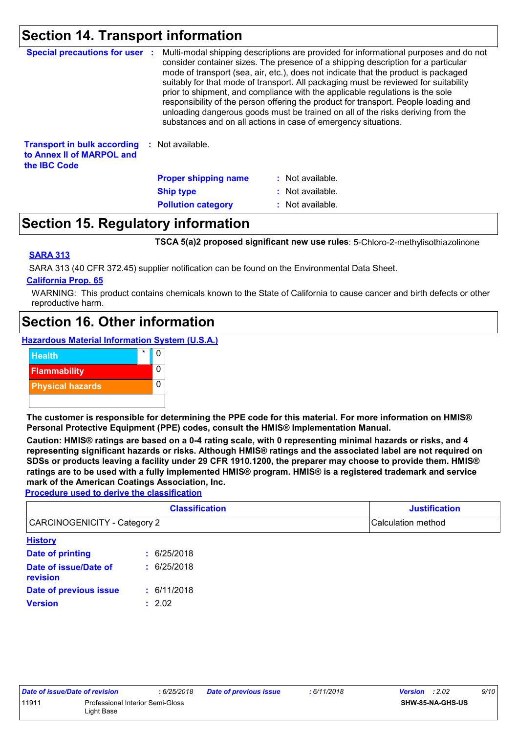# **Section 14. Transport information**

| <b>Special precautions for user :</b>                                                  | Multi-modal shipping descriptions are provided for informational purposes and do not<br>consider container sizes. The presence of a shipping description for a particular<br>mode of transport (sea, air, etc.), does not indicate that the product is packaged<br>suitably for that mode of transport. All packaging must be reviewed for suitability<br>prior to shipment, and compliance with the applicable regulations is the sole<br>responsibility of the person offering the product for transport. People loading and<br>unloading dangerous goods must be trained on all of the risks deriving from the<br>substances and on all actions in case of emergency situations. |                  |
|----------------------------------------------------------------------------------------|-------------------------------------------------------------------------------------------------------------------------------------------------------------------------------------------------------------------------------------------------------------------------------------------------------------------------------------------------------------------------------------------------------------------------------------------------------------------------------------------------------------------------------------------------------------------------------------------------------------------------------------------------------------------------------------|------------------|
| <b>Transport in bulk according</b><br>to Annex II of MARPOL and<br>the <b>IBC</b> Code | : Not available.                                                                                                                                                                                                                                                                                                                                                                                                                                                                                                                                                                                                                                                                    |                  |
|                                                                                        | <b>Proper shipping name</b>                                                                                                                                                                                                                                                                                                                                                                                                                                                                                                                                                                                                                                                         | : Not available. |
|                                                                                        | <b>Ship type</b>                                                                                                                                                                                                                                                                                                                                                                                                                                                                                                                                                                                                                                                                    | : Not available. |
|                                                                                        | <b>Pollution category</b>                                                                                                                                                                                                                                                                                                                                                                                                                                                                                                                                                                                                                                                           | : Not available. |

## **Section 15. Regulatory information**

**TSCA 5(a)2 proposed significant new use rules**: 5-Chloro-2-methylisothiazolinone

#### **SARA 313**

SARA 313 (40 CFR 372.45) supplier notification can be found on the Environmental Data Sheet.

#### **California Prop. 65**

WARNING: This product contains chemicals known to the State of California to cause cancer and birth defects or other reproductive harm.

## **Section 16. Other information**

**Hazardous Material Information System (U.S.A.)**



**The customer is responsible for determining the PPE code for this material. For more information on HMIS® Personal Protective Equipment (PPE) codes, consult the HMIS® Implementation Manual.**

**Caution: HMIS® ratings are based on a 0-4 rating scale, with 0 representing minimal hazards or risks, and 4 representing significant hazards or risks. Although HMIS® ratings and the associated label are not required on SDSs or products leaving a facility under 29 CFR 1910.1200, the preparer may choose to provide them. HMIS® ratings are to be used with a fully implemented HMIS® program. HMIS® is a registered trademark and service mark of the American Coatings Association, Inc.**

**Procedure used to derive the classification**

| <b>Classification</b>             |                 | <b>Justification</b> |
|-----------------------------------|-----------------|----------------------|
| CARCINOGENICITY - Category 2      |                 | Calculation method   |
| <b>History</b>                    |                 |                      |
| Date of printing                  | 6/25/2018       |                      |
| Date of issue/Date of<br>revision | 6/25/2018<br>÷. |                      |
| Date of previous issue            | : 6/11/2018     |                      |
| <b>Version</b>                    | : 2.02          |                      |